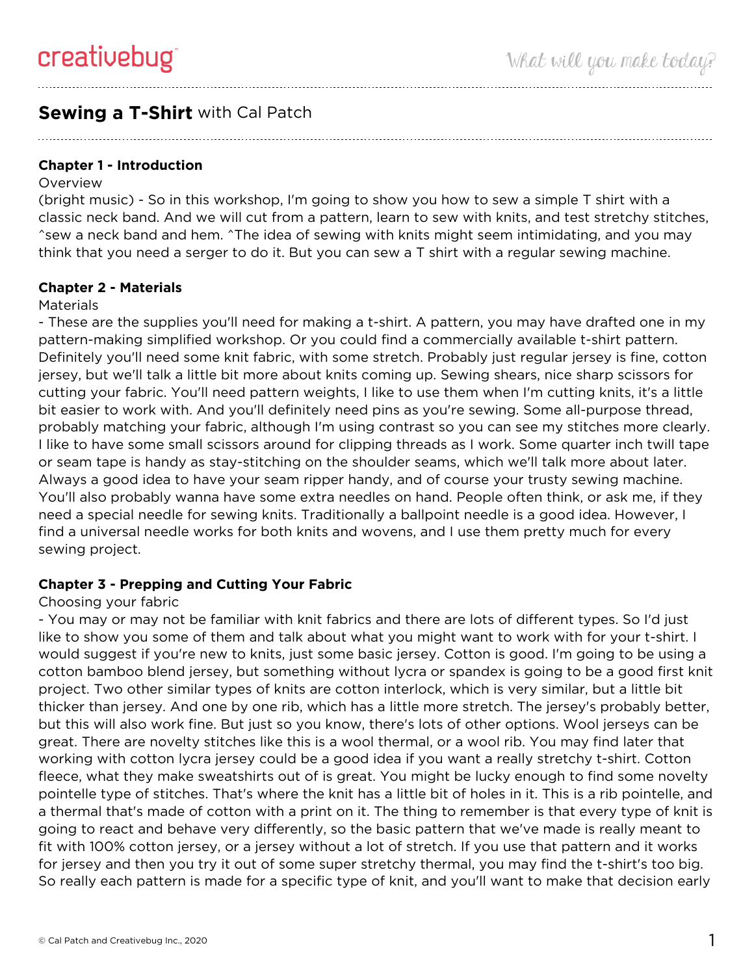# **Sewing a T-Shirt** with Cal Patch

**Chapter 1 - Introduction**

#### **Overview**

(bright music) - So in this workshop, I'm going to show you how to sew a simple T shirt with a classic neck band. And we will cut from a pattern, learn to sew with knits, and test stretchy stitches, ^sew a neck band and hem. ^The idea of sewing with knits might seem intimidating, and you may think that you need a serger to do it. But you can sew a T shirt with a regular sewing machine.

## **Chapter 2 - Materials**

#### **Materials**

- These are the supplies you'll need for making a t-shirt. A pattern, you may have drafted one in my pattern-making simplified workshop. Or you could find a commercially available t-shirt pattern. Definitely you'll need some knit fabric, with some stretch. Probably just regular jersey is fine, cotton jersey, but we'll talk a little bit more about knits coming up. Sewing shears, nice sharp scissors for cutting your fabric. You'll need pattern weights, I like to use them when I'm cutting knits, it's a little bit easier to work with. And you'll definitely need pins as you're sewing. Some all-purpose thread, probably matching your fabric, although I'm using contrast so you can see my stitches more clearly. I like to have some small scissors around for clipping threads as I work. Some quarter inch twill tape or seam tape is handy as stay-stitching on the shoulder seams, which we'll talk more about later. Always a good idea to have your seam ripper handy, and of course your trusty sewing machine. You'll also probably wanna have some extra needles on hand. People often think, or ask me, if they need a special needle for sewing knits. Traditionally a ballpoint needle is a good idea. However, I find a universal needle works for both knits and wovens, and I use them pretty much for every sewing project.

## **Chapter 3 - Prepping and Cutting Your Fabric**

## Choosing your fabric

- You may or may not be familiar with knit fabrics and there are lots of different types. So I'd just like to show you some of them and talk about what you might want to work with for your t-shirt. I would suggest if you're new to knits, just some basic jersey. Cotton is good. I'm going to be using a cotton bamboo blend jersey, but something without lycra or spandex is going to be a good first knit project. Two other similar types of knits are cotton interlock, which is very similar, but a little bit thicker than jersey. And one by one rib, which has a little more stretch. The jersey's probably better, but this will also work fine. But just so you know, there's lots of other options. Wool jerseys can be great. There are novelty stitches like this is a wool thermal, or a wool rib. You may find later that working with cotton lycra jersey could be a good idea if you want a really stretchy t-shirt. Cotton fleece, what they make sweatshirts out of is great. You might be lucky enough to find some novelty pointelle type of stitches. That's where the knit has a little bit of holes in it. This is a rib pointelle, and a thermal that's made of cotton with a print on it. The thing to remember is that every type of knit is going to react and behave very differently, so the basic pattern that we've made is really meant to fit with 100% cotton jersey, or a jersey without a lot of stretch. If you use that pattern and it works for jersey and then you try it out of some super stretchy thermal, you may find the t-shirt's too big. So really each pattern is made for a specific type of knit, and you'll want to make that decision early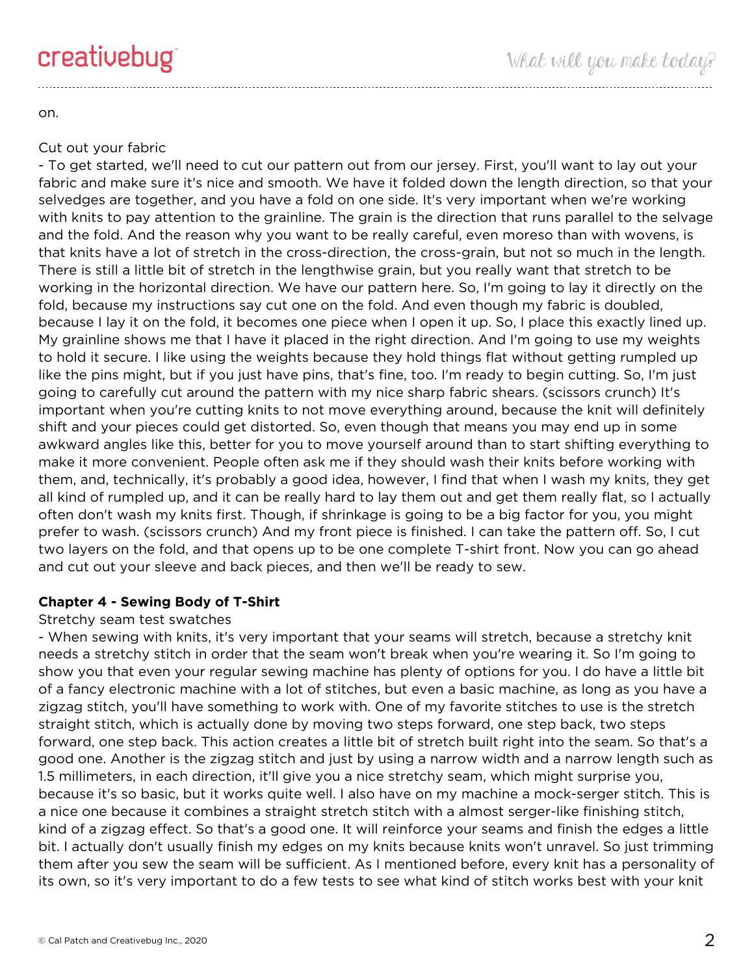on.

## Cut out your fabric

- To get started, we'll need to cut our pattern out from our jersey. First, you'll want to lay out your fabric and make sure it's nice and smooth. We have it folded down the length direction, so that your selvedges are together, and you have a fold on one side. It's very important when we're working with knits to pay attention to the grainline. The grain is the direction that runs parallel to the selvage and the fold. And the reason why you want to be really careful, even moreso than with wovens, is that knits have a lot of stretch in the cross-direction, the cross-grain, but not so much in the length. There is still a little bit of stretch in the lengthwise grain, but you really want that stretch to be working in the horizontal direction. We have our pattern here. So, I'm going to lay it directly on the fold, because my instructions say cut one on the fold. And even though my fabric is doubled, because I lay it on the fold, it becomes one piece when I open it up. So, I place this exactly lined up. My grainline shows me that I have it placed in the right direction. And I'm going to use my weights to hold it secure. I like using the weights because they hold things flat without getting rumpled up like the pins might, but if you just have pins, that's fine, too. I'm ready to begin cutting. So, I'm just going to carefully cut around the pattern with my nice sharp fabric shears. (scissors crunch) It's important when you're cutting knits to not move everything around, because the knit will definitely shift and your pieces could get distorted. So, even though that means you may end up in some awkward angles like this, better for you to move yourself around than to start shifting everything to make it more convenient. People often ask me if they should wash their knits before working with them, and, technically, it's probably a good idea, however, I find that when I wash my knits, they get all kind of rumpled up, and it can be really hard to lay them out and get them really flat, so I actually often don't wash my knits first. Though, if shrinkage is going to be a big factor for you, you might prefer to wash. (scissors crunch) And my front piece is finished. I can take the pattern off. So, I cut two layers on the fold, and that opens up to be one complete T-shirt front. Now you can go ahead and cut out your sleeve and back pieces, and then we'll be ready to sew.

## **Chapter 4 - Sewing Body of T-Shirt**

## Stretchy seam test swatches

- When sewing with knits, it's very important that your seams will stretch, because a stretchy knit needs a stretchy stitch in order that the seam won't break when you're wearing it. So I'm going to show you that even your regular sewing machine has plenty of options for you. I do have a little bit of a fancy electronic machine with a lot of stitches, but even a basic machine, as long as you have a zigzag stitch, you'll have something to work with. One of my favorite stitches to use is the stretch straight stitch, which is actually done by moving two steps forward, one step back, two steps forward, one step back. This action creates a little bit of stretch built right into the seam. So that's a good one. Another is the zigzag stitch and just by using a narrow width and a narrow length such as 1.5 millimeters, in each direction, it'll give you a nice stretchy seam, which might surprise you, because it's so basic, but it works quite well. I also have on my machine a mock-serger stitch. This is a nice one because it combines a straight stretch stitch with a almost serger-like finishing stitch, kind of a zigzag effect. So that's a good one. It will reinforce your seams and finish the edges a little bit. I actually don't usually finish my edges on my knits because knits won't unravel. So just trimming them after you sew the seam will be sufficient. As I mentioned before, every knit has a personality of its own, so it's very important to do a few tests to see what kind of stitch works best with your knit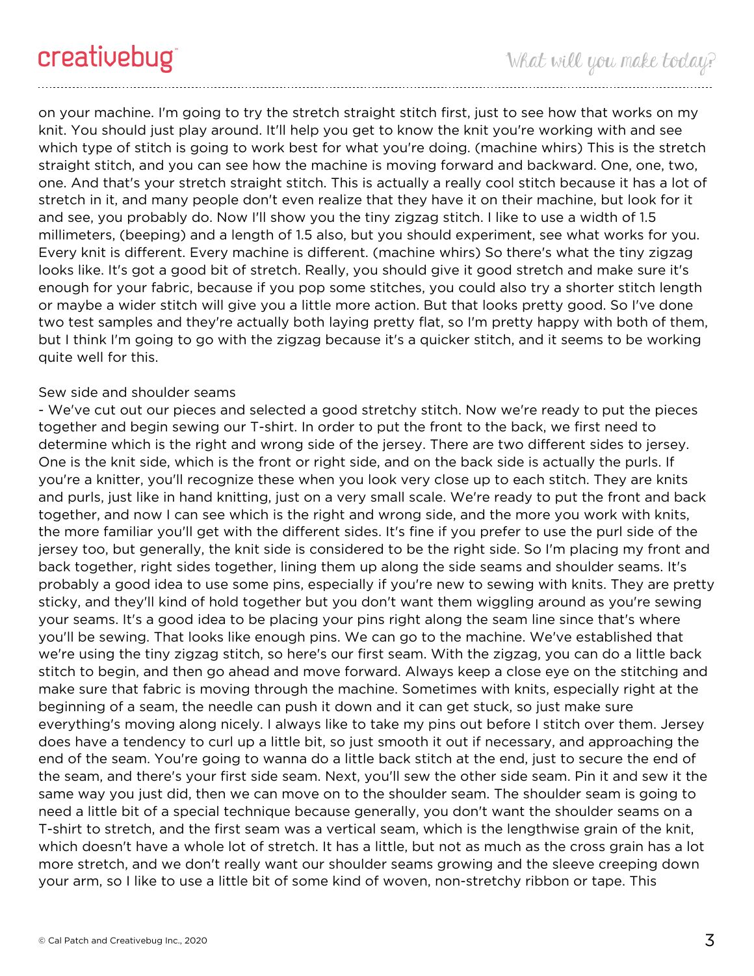on your machine. I'm going to try the stretch straight stitch first, just to see how that works on my knit. You should just play around. It'll help you get to know the knit you're working with and see which type of stitch is going to work best for what you're doing. (machine whirs) This is the stretch straight stitch, and you can see how the machine is moving forward and backward. One, one, two, one. And that's your stretch straight stitch. This is actually a really cool stitch because it has a lot of stretch in it, and many people don't even realize that they have it on their machine, but look for it and see, you probably do. Now I'll show you the tiny zigzag stitch. I like to use a width of 1.5 millimeters, (beeping) and a length of 1.5 also, but you should experiment, see what works for you. Every knit is different. Every machine is different. (machine whirs) So there's what the tiny zigzag looks like. It's got a good bit of stretch. Really, you should give it good stretch and make sure it's enough for your fabric, because if you pop some stitches, you could also try a shorter stitch length or maybe a wider stitch will give you a little more action. But that looks pretty good. So I've done two test samples and they're actually both laying pretty flat, so I'm pretty happy with both of them, but I think I'm going to go with the zigzag because it's a quicker stitch, and it seems to be working quite well for this.

#### Sew side and shoulder seams

- We've cut out our pieces and selected a good stretchy stitch. Now we're ready to put the pieces together and begin sewing our T-shirt. In order to put the front to the back, we first need to determine which is the right and wrong side of the jersey. There are two different sides to jersey. One is the knit side, which is the front or right side, and on the back side is actually the purls. If you're a knitter, you'll recognize these when you look very close up to each stitch. They are knits and purls, just like in hand knitting, just on a very small scale. We're ready to put the front and back together, and now I can see which is the right and wrong side, and the more you work with knits, the more familiar you'll get with the different sides. It's fine if you prefer to use the purl side of the jersey too, but generally, the knit side is considered to be the right side. So I'm placing my front and back together, right sides together, lining them up along the side seams and shoulder seams. It's probably a good idea to use some pins, especially if you're new to sewing with knits. They are pretty sticky, and they'll kind of hold together but you don't want them wiggling around as you're sewing your seams. It's a good idea to be placing your pins right along the seam line since that's where you'll be sewing. That looks like enough pins. We can go to the machine. We've established that we're using the tiny zigzag stitch, so here's our first seam. With the zigzag, you can do a little back stitch to begin, and then go ahead and move forward. Always keep a close eye on the stitching and make sure that fabric is moving through the machine. Sometimes with knits, especially right at the beginning of a seam, the needle can push it down and it can get stuck, so just make sure everything's moving along nicely. I always like to take my pins out before I stitch over them. Jersey does have a tendency to curl up a little bit, so just smooth it out if necessary, and approaching the end of the seam. You're going to wanna do a little back stitch at the end, just to secure the end of the seam, and there's your first side seam. Next, you'll sew the other side seam. Pin it and sew it the same way you just did, then we can move on to the shoulder seam. The shoulder seam is going to need a little bit of a special technique because generally, you don't want the shoulder seams on a T-shirt to stretch, and the first seam was a vertical seam, which is the lengthwise grain of the knit, which doesn't have a whole lot of stretch. It has a little, but not as much as the cross grain has a lot more stretch, and we don't really want our shoulder seams growing and the sleeve creeping down your arm, so I like to use a little bit of some kind of woven, non-stretchy ribbon or tape. This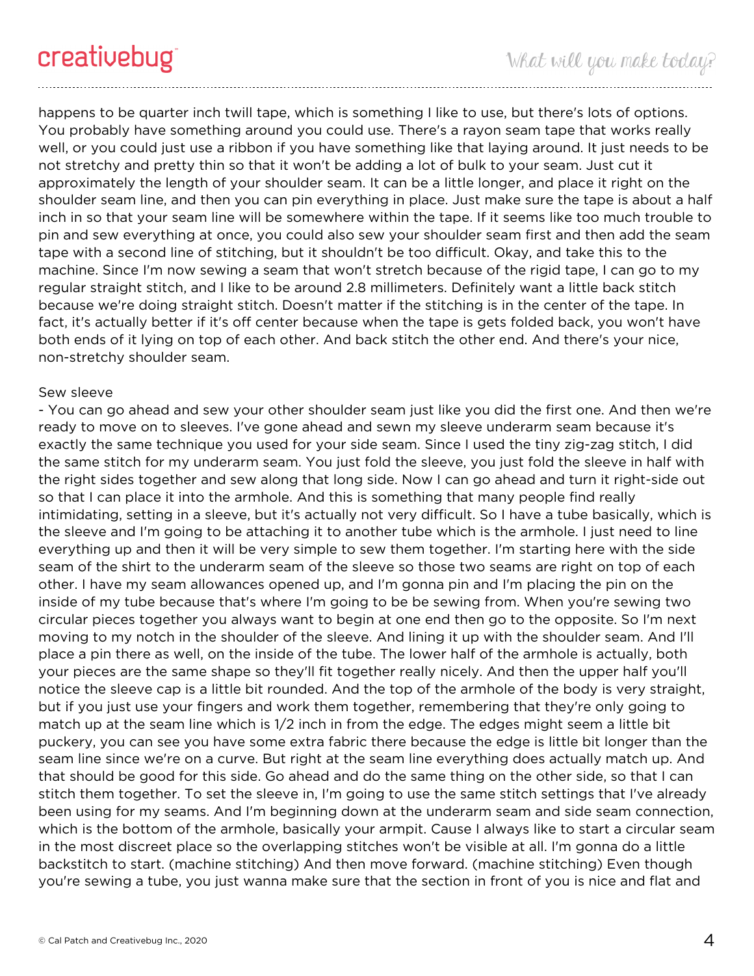happens to be quarter inch twill tape, which is something I like to use, but there's lots of options. You probably have something around you could use. There's a rayon seam tape that works really well, or you could just use a ribbon if you have something like that laying around. It just needs to be not stretchy and pretty thin so that it won't be adding a lot of bulk to your seam. Just cut it approximately the length of your shoulder seam. It can be a little longer, and place it right on the shoulder seam line, and then you can pin everything in place. Just make sure the tape is about a half inch in so that your seam line will be somewhere within the tape. If it seems like too much trouble to pin and sew everything at once, you could also sew your shoulder seam first and then add the seam tape with a second line of stitching, but it shouldn't be too difficult. Okay, and take this to the machine. Since I'm now sewing a seam that won't stretch because of the rigid tape, I can go to my regular straight stitch, and I like to be around 2.8 millimeters. Definitely want a little back stitch because we're doing straight stitch. Doesn't matter if the stitching is in the center of the tape. In fact, it's actually better if it's off center because when the tape is gets folded back, you won't have both ends of it lying on top of each other. And back stitch the other end. And there's your nice, non-stretchy shoulder seam.

#### Sew sleeve

- You can go ahead and sew your other shoulder seam just like you did the first one. And then we're ready to move on to sleeves. I've gone ahead and sewn my sleeve underarm seam because it's exactly the same technique you used for your side seam. Since I used the tiny zig-zag stitch, I did the same stitch for my underarm seam. You just fold the sleeve, you just fold the sleeve in half with the right sides together and sew along that long side. Now I can go ahead and turn it right-side out so that I can place it into the armhole. And this is something that many people find really intimidating, setting in a sleeve, but it's actually not very difficult. So I have a tube basically, which is the sleeve and I'm going to be attaching it to another tube which is the armhole. I just need to line everything up and then it will be very simple to sew them together. I'm starting here with the side seam of the shirt to the underarm seam of the sleeve so those two seams are right on top of each other. I have my seam allowances opened up, and I'm gonna pin and I'm placing the pin on the inside of my tube because that's where I'm going to be be sewing from. When you're sewing two circular pieces together you always want to begin at one end then go to the opposite. So I'm next moving to my notch in the shoulder of the sleeve. And lining it up with the shoulder seam. And I'll place a pin there as well, on the inside of the tube. The lower half of the armhole is actually, both your pieces are the same shape so they'll fit together really nicely. And then the upper half you'll notice the sleeve cap is a little bit rounded. And the top of the armhole of the body is very straight, but if you just use your fingers and work them together, remembering that they're only going to match up at the seam line which is 1/2 inch in from the edge. The edges might seem a little bit puckery, you can see you have some extra fabric there because the edge is little bit longer than the seam line since we're on a curve. But right at the seam line everything does actually match up. And that should be good for this side. Go ahead and do the same thing on the other side, so that I can stitch them together. To set the sleeve in, I'm going to use the same stitch settings that I've already been using for my seams. And I'm beginning down at the underarm seam and side seam connection, which is the bottom of the armhole, basically your armpit. Cause I always like to start a circular seam in the most discreet place so the overlapping stitches won't be visible at all. I'm gonna do a little backstitch to start. (machine stitching) And then move forward. (machine stitching) Even though you're sewing a tube, you just wanna make sure that the section in front of you is nice and flat and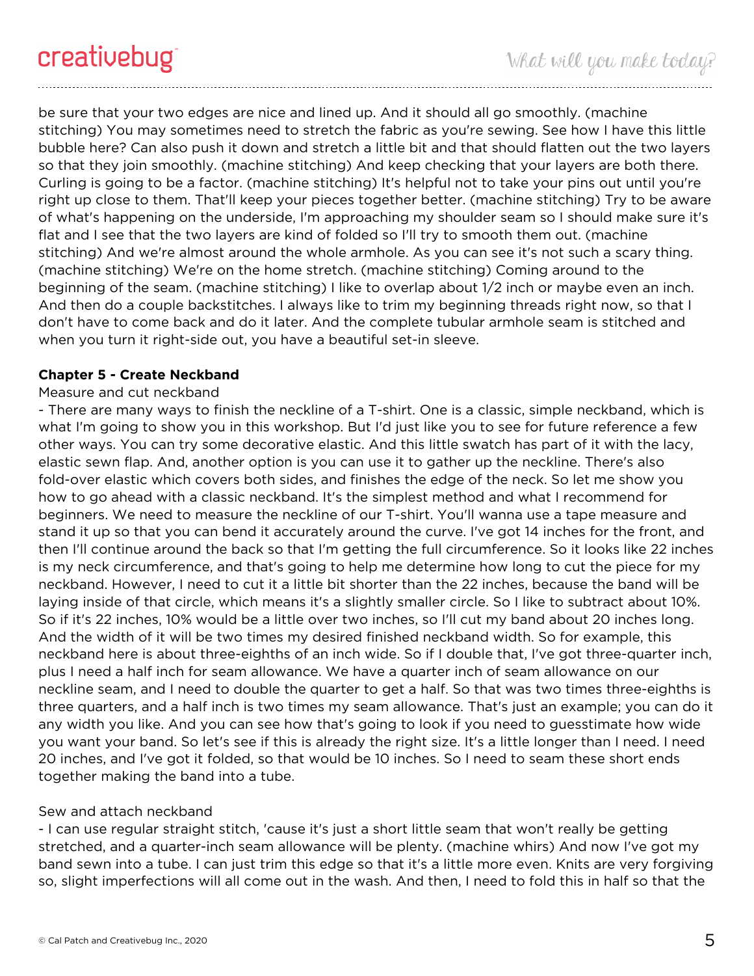be sure that your two edges are nice and lined up. And it should all go smoothly. (machine stitching) You may sometimes need to stretch the fabric as you're sewing. See how I have this little bubble here? Can also push it down and stretch a little bit and that should flatten out the two layers so that they join smoothly. (machine stitching) And keep checking that your layers are both there. Curling is going to be a factor. (machine stitching) It's helpful not to take your pins out until you're right up close to them. That'll keep your pieces together better. (machine stitching) Try to be aware of what's happening on the underside, I'm approaching my shoulder seam so I should make sure it's flat and I see that the two layers are kind of folded so I'll try to smooth them out. (machine stitching) And we're almost around the whole armhole. As you can see it's not such a scary thing. (machine stitching) We're on the home stretch. (machine stitching) Coming around to the beginning of the seam. (machine stitching) I like to overlap about 1/2 inch or maybe even an inch. And then do a couple backstitches. I always like to trim my beginning threads right now, so that I don't have to come back and do it later. And the complete tubular armhole seam is stitched and when you turn it right-side out, you have a beautiful set-in sleeve.

#### **Chapter 5 - Create Neckband**

#### Measure and cut neckband

- There are many ways to finish the neckline of a T-shirt. One is a classic, simple neckband, which is what I'm going to show you in this workshop. But I'd just like you to see for future reference a few other ways. You can try some decorative elastic. And this little swatch has part of it with the lacy, elastic sewn flap. And, another option is you can use it to gather up the neckline. There's also fold-over elastic which covers both sides, and finishes the edge of the neck. So let me show you how to go ahead with a classic neckband. It's the simplest method and what I recommend for beginners. We need to measure the neckline of our T-shirt. You'll wanna use a tape measure and stand it up so that you can bend it accurately around the curve. I've got 14 inches for the front, and then I'll continue around the back so that I'm getting the full circumference. So it looks like 22 inches is my neck circumference, and that's going to help me determine how long to cut the piece for my neckband. However, I need to cut it a little bit shorter than the 22 inches, because the band will be laying inside of that circle, which means it's a slightly smaller circle. So I like to subtract about 10%. So if it's 22 inches, 10% would be a little over two inches, so I'll cut my band about 20 inches long. And the width of it will be two times my desired finished neckband width. So for example, this neckband here is about three-eighths of an inch wide. So if I double that, I've got three-quarter inch, plus I need a half inch for seam allowance. We have a quarter inch of seam allowance on our neckline seam, and I need to double the quarter to get a half. So that was two times three-eighths is three quarters, and a half inch is two times my seam allowance. That's just an example; you can do it any width you like. And you can see how that's going to look if you need to guesstimate how wide you want your band. So let's see if this is already the right size. It's a little longer than I need. I need 20 inches, and I've got it folded, so that would be 10 inches. So I need to seam these short ends together making the band into a tube.

#### Sew and attach neckband

- I can use regular straight stitch, 'cause it's just a short little seam that won't really be getting stretched, and a quarter-inch seam allowance will be plenty. (machine whirs) And now I've got my band sewn into a tube. I can just trim this edge so that it's a little more even. Knits are very forgiving so, slight imperfections will all come out in the wash. And then, I need to fold this in half so that the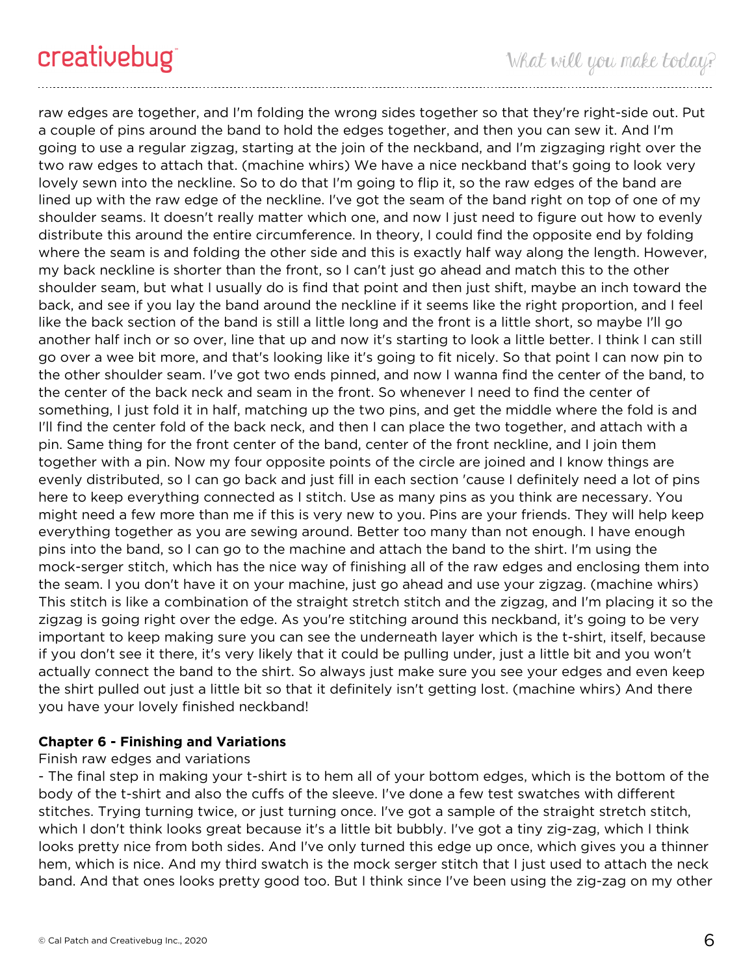raw edges are together, and I'm folding the wrong sides together so that they're right-side out. Put a couple of pins around the band to hold the edges together, and then you can sew it. And I'm going to use a regular zigzag, starting at the join of the neckband, and I'm zigzaging right over the two raw edges to attach that. (machine whirs) We have a nice neckband that's going to look very lovely sewn into the neckline. So to do that I'm going to flip it, so the raw edges of the band are lined up with the raw edge of the neckline. I've got the seam of the band right on top of one of my shoulder seams. It doesn't really matter which one, and now I just need to figure out how to evenly distribute this around the entire circumference. In theory, I could find the opposite end by folding where the seam is and folding the other side and this is exactly half way along the length. However, my back neckline is shorter than the front, so I can't just go ahead and match this to the other shoulder seam, but what I usually do is find that point and then just shift, maybe an inch toward the back, and see if you lay the band around the neckline if it seems like the right proportion, and I feel like the back section of the band is still a little long and the front is a little short, so maybe I'll go another half inch or so over, line that up and now it's starting to look a little better. I think I can still go over a wee bit more, and that's looking like it's going to fit nicely. So that point I can now pin to the other shoulder seam. I've got two ends pinned, and now I wanna find the center of the band, to the center of the back neck and seam in the front. So whenever I need to find the center of something, I just fold it in half, matching up the two pins, and get the middle where the fold is and I'll find the center fold of the back neck, and then I can place the two together, and attach with a pin. Same thing for the front center of the band, center of the front neckline, and I join them together with a pin. Now my four opposite points of the circle are joined and I know things are evenly distributed, so I can go back and just fill in each section 'cause I definitely need a lot of pins here to keep everything connected as I stitch. Use as many pins as you think are necessary. You might need a few more than me if this is very new to you. Pins are your friends. They will help keep everything together as you are sewing around. Better too many than not enough. I have enough pins into the band, so I can go to the machine and attach the band to the shirt. I'm using the mock-serger stitch, which has the nice way of finishing all of the raw edges and enclosing them into the seam. I you don't have it on your machine, just go ahead and use your zigzag. (machine whirs) This stitch is like a combination of the straight stretch stitch and the zigzag, and I'm placing it so the zigzag is going right over the edge. As you're stitching around this neckband, it's going to be very important to keep making sure you can see the underneath layer which is the t-shirt, itself, because if you don't see it there, it's very likely that it could be pulling under, just a little bit and you won't actually connect the band to the shirt. So always just make sure you see your edges and even keep the shirt pulled out just a little bit so that it definitely isn't getting lost. (machine whirs) And there you have your lovely finished neckband!

## **Chapter 6 - Finishing and Variations**

#### Finish raw edges and variations

- The final step in making your t-shirt is to hem all of your bottom edges, which is the bottom of the body of the t-shirt and also the cuffs of the sleeve. I've done a few test swatches with different stitches. Trying turning twice, or just turning once. I've got a sample of the straight stretch stitch, which I don't think looks great because it's a little bit bubbly. I've got a tiny zig-zag, which I think looks pretty nice from both sides. And I've only turned this edge up once, which gives you a thinner hem, which is nice. And my third swatch is the mock serger stitch that I just used to attach the neck band. And that ones looks pretty good too. But I think since I've been using the zig-zag on my other